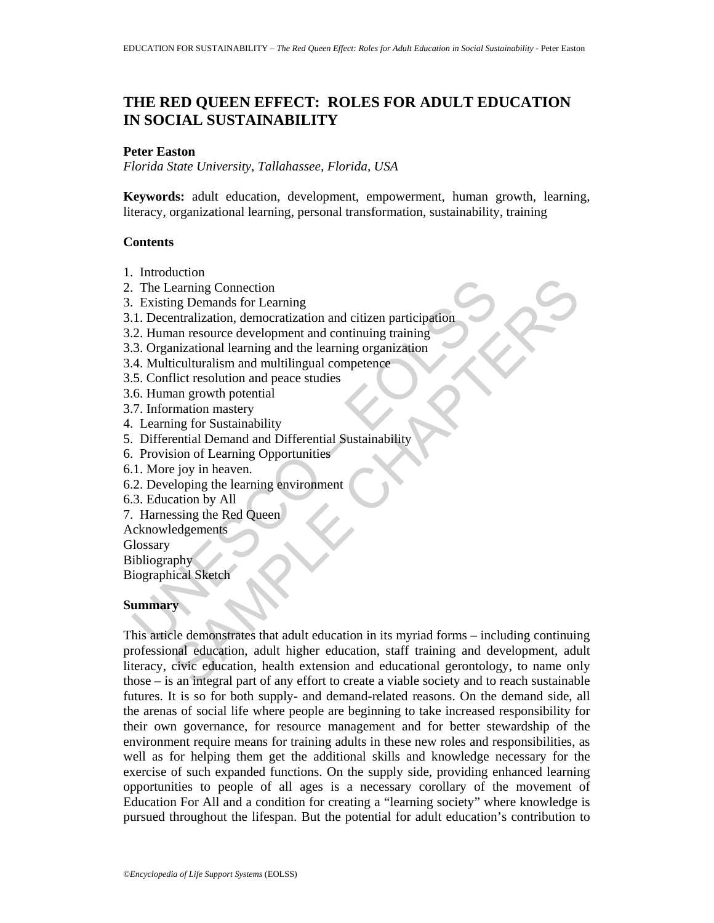# **THE RED QUEEN EFFECT: ROLES FOR ADULT EDUCATION IN SOCIAL SUSTAINABILITY**

### **Peter Easton**

*Florida State University, Tallahassee, Florida, USA* 

**Keywords:** adult education, development, empowerment, human growth, learning, literacy, organizational learning, personal transformation, sustainability, training

### **Contents**

- 1. Introduction
- 2. The Learning Connection
- 3. Existing Demands for Learning
- 3.1. Decentralization, democratization and citizen participation
- 3.2. Human resource development and continuing training
- 3.3. Organizational learning and the learning organization
- 3.4. Multiculturalism and multilingual competence
- 3.5. Conflict resolution and peace studies
- 3.6. Human growth potential
- 3.7. Information mastery
- 4. Learning for Sustainability
- 5. Differential Demand and Differential Sustainability
- 6. Provision of Learning Opportunities
- 6.1. More joy in heaven.
- 6.2. Developing the learning environment
- 6.3. Education by All
- 7. Harnessing the Red Queen
- Acknowledgements
- **Glossary**

**Bibliography** 

Biographical Sketch

### **Summary**

The Learning Connection<br>
1. Decentralization, democratization and citizen participation<br>
1. Decentralization, democratization and citizen participation<br>
2. Human resource development and continuing training<br>
3. Organizatio Examing Connection<br>
marming Connection<br>
and resource development and citizen participation<br>
and resource development and continuing training<br>
marizational learning and the learning organization<br>
differential and multilingu This article demonstrates that adult education in its myriad forms – including continuing professional education, adult higher education, staff training and development, adult literacy, civic education, health extension and educational gerontology, to name only those – is an integral part of any effort to create a viable society and to reach sustainable futures. It is so for both supply- and demand-related reasons. On the demand side, all the arenas of social life where people are beginning to take increased responsibility for their own governance, for resource management and for better stewardship of the environment require means for training adults in these new roles and responsibilities, as well as for helping them get the additional skills and knowledge necessary for the exercise of such expanded functions. On the supply side, providing enhanced learning opportunities to people of all ages is a necessary corollary of the movement of Education For All and a condition for creating a "learning society" where knowledge is pursued throughout the lifespan. But the potential for adult education's contribution to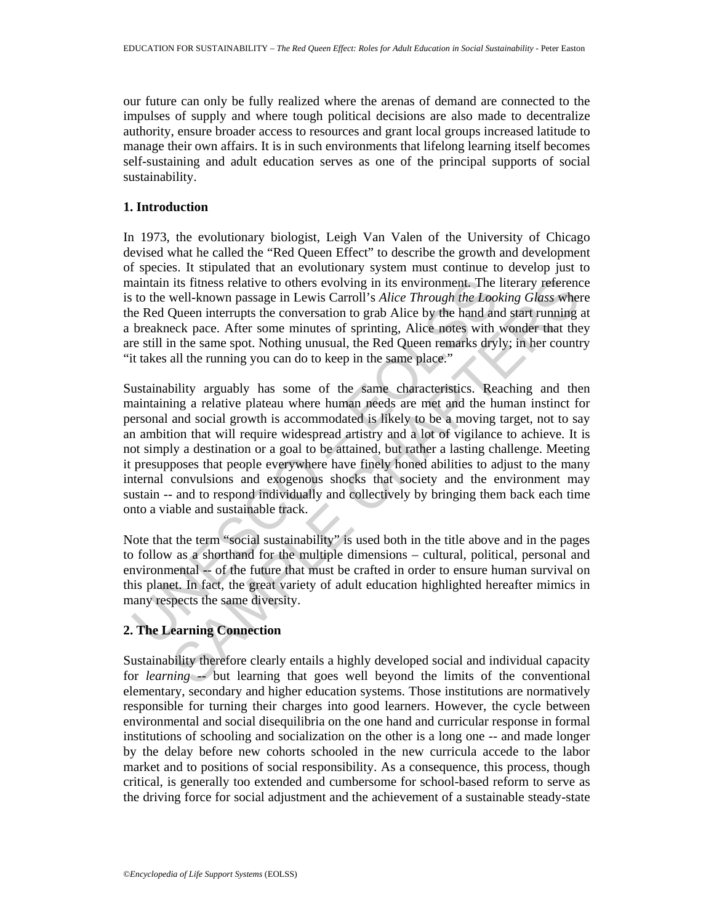our future can only be fully realized where the arenas of demand are connected to the impulses of supply and where tough political decisions are also made to decentralize authority, ensure broader access to resources and grant local groups increased latitude to manage their own affairs. It is in such environments that lifelong learning itself becomes self-sustaining and adult education serves as one of the principal supports of social sustainability.

### **1. Introduction**

In 1973, the evolutionary biologist, Leigh Van Valen of the University of Chicago devised what he called the "Red Queen Effect" to describe the growth and development of species. It stipulated that an evolutionary system must continue to develop just to maintain its fitness relative to others evolving in its environment. The literary reference is to the well-known passage in Lewis Carroll's *Alice Through the Looking Glass* where the Red Queen interrupts the conversation to grab Alice by the hand and start running at a breakneck pace. After some minutes of sprinting, Alice notes with wonder that they are still in the same spot. Nothing unusual, the Red Queen remarks dryly; in her country "it takes all the running you can do to keep in the same place."

ialintain its fitness relative to others evolving in its environment. The<br>to the well-known passage in Lewis Carroll's *Alice Through the Looi*<br>e Red Queen interruyst the conversation to grab Alice by the hand an<br>breakneck its fitness relative to others evolving in its environment. The literary reference well-known passage in Lewis Carroll's *Alice Through the Looking Glaas* which Queen interrupts the conversation to grab Alice by the hand a Sustainability arguably has some of the same characteristics. Reaching and then maintaining a relative plateau where human needs are met and the human instinct for personal and social growth is accommodated is likely to be a moving target, not to say an ambition that will require widespread artistry and a lot of vigilance to achieve. It is not simply a destination or a goal to be attained, but rather a lasting challenge. Meeting it presupposes that people everywhere have finely honed abilities to adjust to the many internal convulsions and exogenous shocks that society and the environment may sustain -- and to respond individually and collectively by bringing them back each time onto a viable and sustainable track.

Note that the term "social sustainability" is used both in the title above and in the pages to follow as a shorthand for the multiple dimensions – cultural, political, personal and environmental -- of the future that must be crafted in order to ensure human survival on this planet. In fact, the great variety of adult education highlighted hereafter mimics in many respects the same diversity.

## **2. The Learning Connection**

Sustainability therefore clearly entails a highly developed social and individual capacity for *learning* -- but learning that goes well beyond the limits of the conventional elementary, secondary and higher education systems. Those institutions are normatively responsible for turning their charges into good learners. However, the cycle between environmental and social disequilibria on the one hand and curricular response in formal institutions of schooling and socialization on the other is a long one -- and made longer by the delay before new cohorts schooled in the new curricula accede to the labor market and to positions of social responsibility. As a consequence, this process, though critical, is generally too extended and cumbersome for school-based reform to serve as the driving force for social adjustment and the achievement of a sustainable steady-state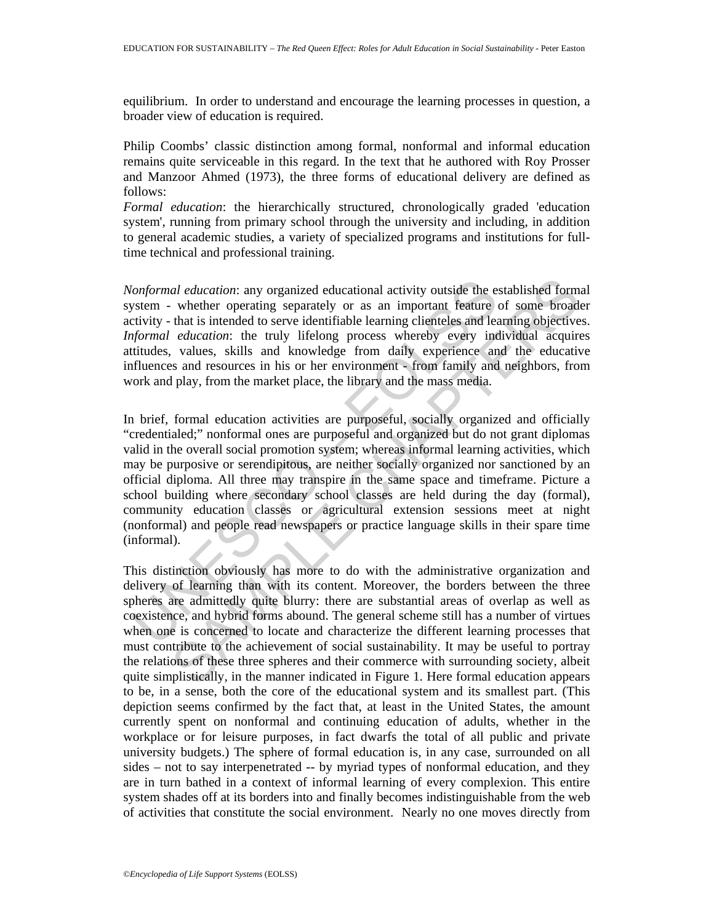equilibrium. In order to understand and encourage the learning processes in question, a broader view of education is required.

Philip Coombs' classic distinction among formal, nonformal and informal education remains quite serviceable in this regard. In the text that he authored with Roy Prosser and Manzoor Ahmed (1973), the three forms of educational delivery are defined as follows:

*Formal education*: the hierarchically structured, chronologically graded 'education system', running from primary school through the university and including, in addition to general academic studies, a variety of specialized programs and institutions for fulltime technical and professional training.

*Nonformal education*: any organized educational activity outside the established formal system - whether operating separately or as an important feature of some broader activity - that is intended to serve identifiable learning clienteles and learning objectives. *Informal education*: the truly lifelong process whereby every individual acquires attitudes, values, skills and knowledge from daily experience and the educative influences and resources in his or her environment - from family and neighbors, from work and play, from the market place, the library and the mass media.

Conformal education: any organized educational activity outside the ex-<br>stem - whether operating separately or as an important feature<br>vity - that is intended to serve identifiable learning clienteles and lea<br>formal educat al education: any organized educational activity outside the established form<br>whether operating separately or as an important feature of some broad<br>that is intended to serve identifiable learning clientels and learning obj In brief, formal education activities are purposeful, socially organized and officially "credentialed;" nonformal ones are purposeful and organized but do not grant diplomas valid in the overall social promotion system; whereas informal learning activities, which may be purposive or serendipitous, are neither socially organized nor sanctioned by an official diploma. All three may transpire in the same space and timeframe. Picture a school building where secondary school classes are held during the day (formal), community education classes or agricultural extension sessions meet at night (nonformal) and people read newspapers or practice language skills in their spare time (informal).

This distinction obviously has more to do with the administrative organization and delivery of learning than with its content. Moreover, the borders between the three spheres are admittedly quite blurry: there are substantial areas of overlap as well as coexistence, and hybrid forms abound. The general scheme still has a number of virtues when one is concerned to locate and characterize the different learning processes that must contribute to the achievement of social sustainability. It may be useful to portray the relations of these three spheres and their commerce with surrounding society, albeit quite simplistically, in the manner indicated in Figure 1. Here formal education appears to be, in a sense, both the core of the educational system and its smallest part. (This depiction seems confirmed by the fact that, at least in the United States, the amount currently spent on nonformal and continuing education of adults, whether in the workplace or for leisure purposes, in fact dwarfs the total of all public and private university budgets.) The sphere of formal education is, in any case, surrounded on all sides – not to say interpenetrated -- by myriad types of nonformal education, and they are in turn bathed in a context of informal learning of every complexion. This entire system shades off at its borders into and finally becomes indistinguishable from the web of activities that constitute the social environment. Nearly no one moves directly from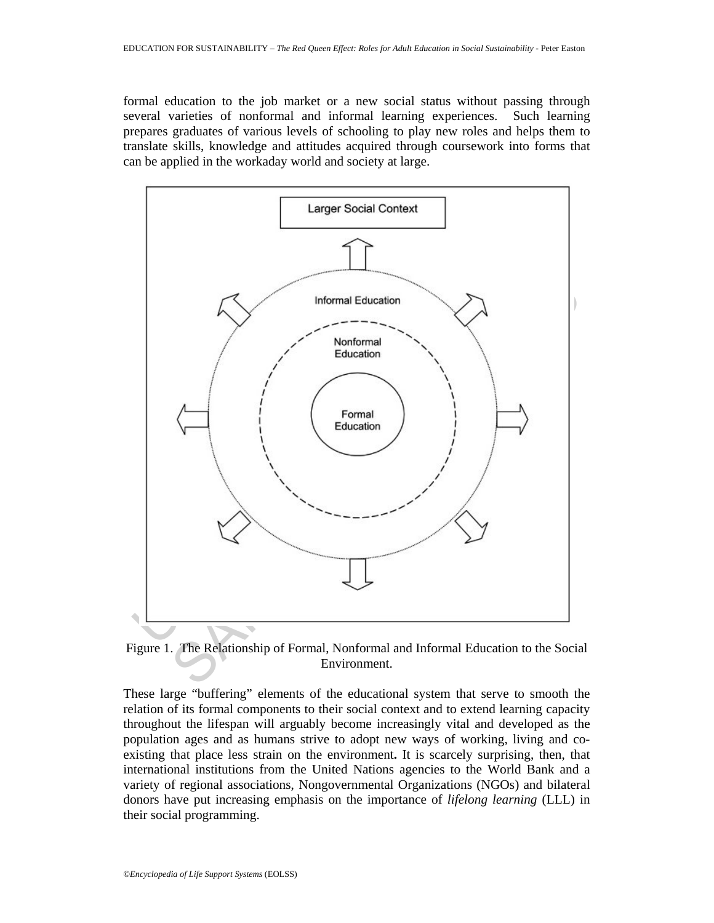formal education to the job market or a new social status without passing through several varieties of nonformal and informal learning experiences. Such learning prepares graduates of various levels of schooling to play new roles and helps them to translate skills, knowledge and attitudes acquired through coursework into forms that can be applied in the workaday world and society at large.



Figure 1. The Relationship of Formal, Nonformal and Informal Education to the Social Environment.

These large "buffering" elements of the educational system that serve to smooth the relation of its formal components to their social context and to extend learning capacity throughout the lifespan will arguably become increasingly vital and developed as the population ages and as humans strive to adopt new ways of working, living and coexisting that place less strain on the environment**.** It is scarcely surprising, then, that international institutions from the United Nations agencies to the World Bank and a variety of regional associations, Nongovernmental Organizations (NGOs) and bilateral donors have put increasing emphasis on the importance of *lifelong learning* (LLL) in their social programming.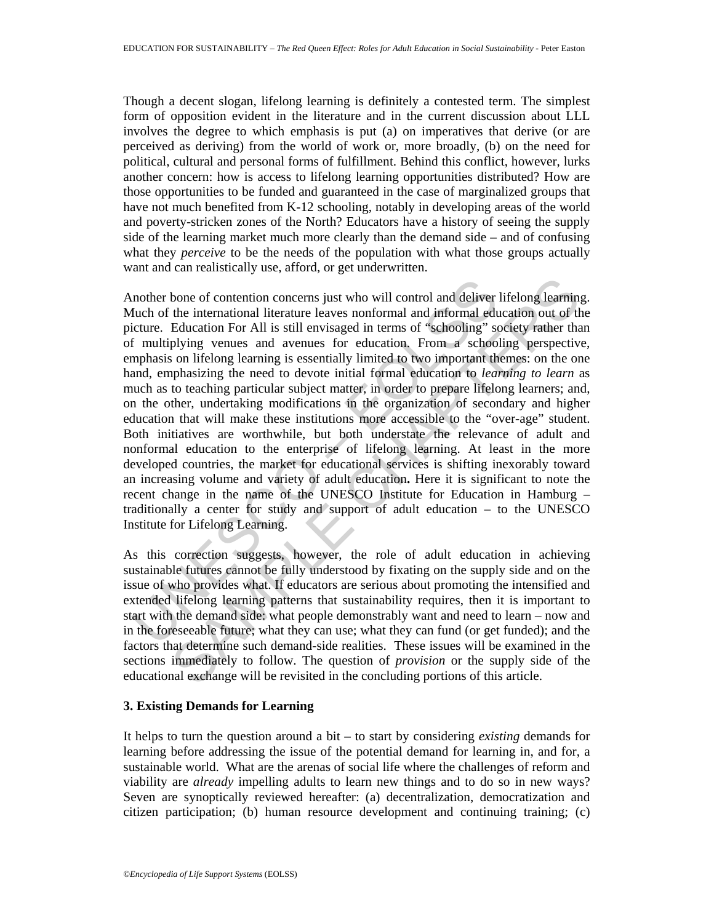Though a decent slogan, lifelong learning is definitely a contested term. The simplest form of opposition evident in the literature and in the current discussion about LLL involves the degree to which emphasis is put (a) on imperatives that derive (or are perceived as deriving) from the world of work or, more broadly, (b) on the need for political, cultural and personal forms of fulfillment. Behind this conflict, however, lurks another concern: how is access to lifelong learning opportunities distributed? How are those opportunities to be funded and guaranteed in the case of marginalized groups that have not much benefited from K-12 schooling, notably in developing areas of the world and poverty-stricken zones of the North? Educators have a history of seeing the supply side of the learning market much more clearly than the demand side – and of confusing what they *perceive* to be the needs of the population with what those groups actually want and can realistically use, afford, or get underwritten.

nother bone of contention concerns just who will control and deliver<br>Iuch of the international literature leaves nonformal and informal educture. Education For All is still envisaged in terms of "schooling" steps<br>f multipl bone of contention concerns just who will control and deliver lifelong learning the international literature leaves nonformal and informal education out of the Education For All is still envisaged in terms of "schooling" s Another bone of contention concerns just who will control and deliver lifelong learning. Much of the international literature leaves nonformal and informal education out of the picture. Education For All is still envisaged in terms of "schooling" society rather than of multiplying venues and avenues for education. From a schooling perspective, emphasis on lifelong learning is essentially limited to two important themes: on the one hand, emphasizing the need to devote initial formal education to *learning to learn* as much as to teaching particular subject matter, in order to prepare lifelong learners; and, on the other, undertaking modifications in the organization of secondary and higher education that will make these institutions more accessible to the "over-age" student. Both initiatives are worthwhile, but both understate the relevance of adult and nonformal education to the enterprise of lifelong learning. At least in the more developed countries, the market for educational services is shifting inexorably toward an increasing volume and variety of adult education**.** Here it is significant to note the recent change in the name of the UNESCO Institute for Education in Hamburg – traditionally a center for study and support of adult education – to the UNESCO Institute for Lifelong Learning.

As this correction suggests, however, the role of adult education in achieving sustainable futures cannot be fully understood by fixating on the supply side and on the issue of who provides what. If educators are serious about promoting the intensified and extended lifelong learning patterns that sustainability requires, then it is important to start with the demand side: what people demonstrably want and need to learn – now and in the foreseeable future; what they can use; what they can fund (or get funded); and the factors that determine such demand-side realities. These issues will be examined in the sections immediately to follow. The question of *provision* or the supply side of the educational exchange will be revisited in the concluding portions of this article.

### **3. Existing Demands for Learning**

It helps to turn the question around a bit – to start by considering *existing* demands for learning before addressing the issue of the potential demand for learning in, and for, a sustainable world. What are the arenas of social life where the challenges of reform and viability are *already* impelling adults to learn new things and to do so in new ways? Seven are synoptically reviewed hereafter: (a) decentralization, democratization and citizen participation; (b) human resource development and continuing training; (c)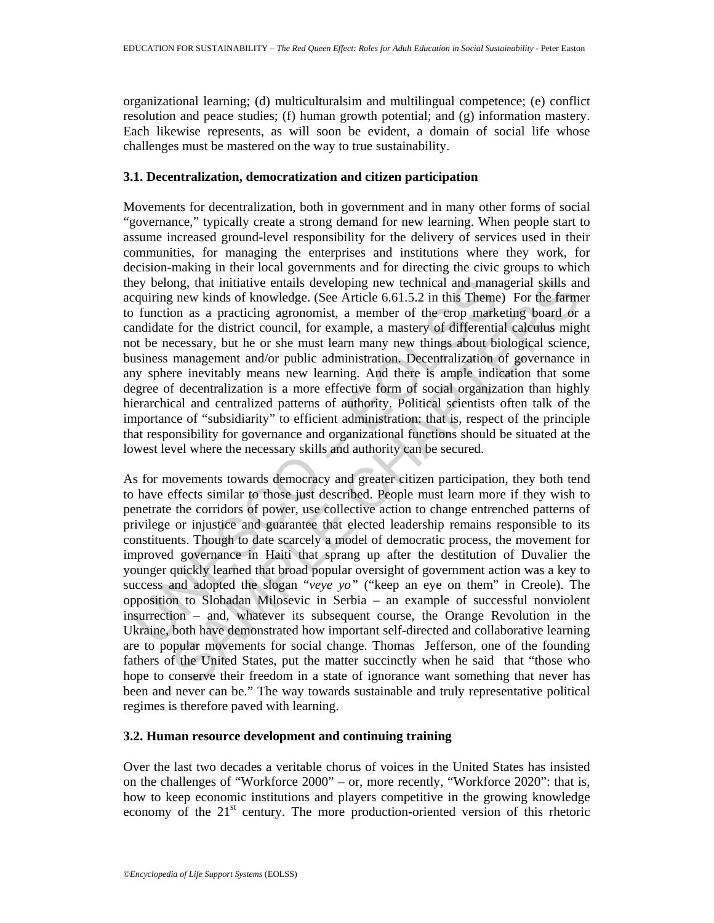organizational learning; (d) multiculturalsim and multilingual competence; (e) conflict resolution and peace studies; (f) human growth potential; and (g) information mastery. Each likewise represents, as will soon be evident, a domain of social life whose challenges must be mastered on the way to true sustainability.

## **3.1. Decentralization, democratization and citizen participation**

bey belong, that initiative entails developing new technical and mana-<br>cquiring new kinds of knowledge. (See Article 6.61.5.2 in this Theme<br>of function as a practicing agronomist, a member of the crop mark<br>andidate for the Movements for decentralization, both in government and in many other forms of social "governance," typically create a strong demand for new learning. When people start to assume increased ground-level responsibility for the delivery of services used in their communities, for managing the enterprises and institutions where they work, for decision-making in their local governments and for directing the civic groups to which they belong, that initiative entails developing new technical and managerial skills and acquiring new kinds of knowledge. (See Article 6.61.5.2 in this Theme) For the farmer to function as a practicing agronomist, a member of the crop marketing board or a candidate for the district council, for example, a mastery of differential calculus might not be necessary, but he or she must learn many new things about biological science, business management and/or public administration. Decentralization of governance in any sphere inevitably means new learning. And there is ample indication that some degree of decentralization is a more effective form of social organization than highly hierarchical and centralized patterns of authority. Political scientists often talk of the importance of "subsidiarity" to efficient administration: that is, respect of the principle that responsibility for governance and organizational functions should be situated at the lowest level where the necessary skills and authority can be secured.

ong, that initiative entails developing new technical and managerial skills an geve kinds of knowledge. (See Article 6.61.5.2 in this Theme) For the farmation on as a practicing agronomist, a member of the orop marketing As for movements towards democracy and greater citizen participation, they both tend to have effects similar to those just described. People must learn more if they wish to penetrate the corridors of power, use collective action to change entrenched patterns of privilege or injustice and guarantee that elected leadership remains responsible to its constituents. Though to date scarcely a model of democratic process, the movement for improved governance in Haiti that sprang up after the destitution of Duvalier the younger quickly learned that broad popular oversight of government action was a key to success and adopted the slogan "*veye yo"* ("keep an eye on them" in Creole). The opposition to Slobadan Milosevic in Serbia – an example of successful nonviolent insurrection – and, whatever its subsequent course, the Orange Revolution in the Ukraine, both have demonstrated how important self-directed and collaborative learning are to popular movements for social change. Thomas Jefferson, one of the founding fathers of the United States, put the matter succinctly when he said that "those who hope to conserve their freedom in a state of ignorance want something that never has been and never can be." The way towards sustainable and truly representative political regimes is therefore paved with learning.

## **3.2. Human resource development and continuing training**

Over the last two decades a veritable chorus of voices in the United States has insisted on the challenges of "Workforce 2000" – or, more recently, "Workforce 2020": that is, how to keep economic institutions and players competitive in the growing knowledge economy of the  $21<sup>st</sup>$  century. The more production-oriented version of this rhetoric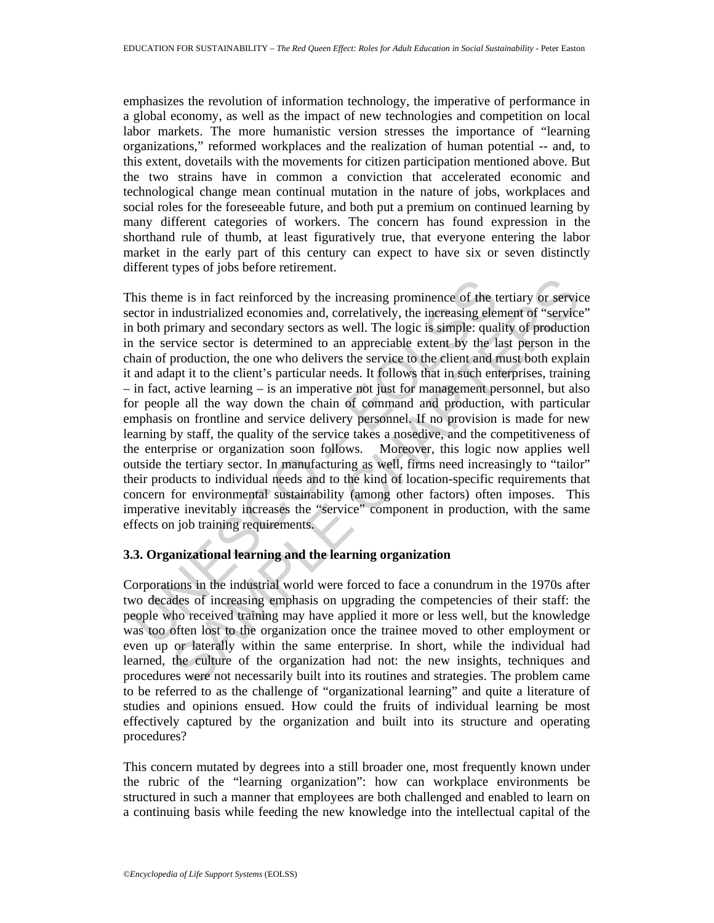emphasizes the revolution of information technology, the imperative of performance in a global economy, as well as the impact of new technologies and competition on local labor markets. The more humanistic version stresses the importance of "learning organizations," reformed workplaces and the realization of human potential -- and, to this extent, dovetails with the movements for citizen participation mentioned above. But the two strains have in common a conviction that accelerated economic and technological change mean continual mutation in the nature of jobs, workplaces and social roles for the foreseeable future, and both put a premium on continued learning by many different categories of workers. The concern has found expression in the shorthand rule of thumb, at least figuratively true, that everyone entering the labor market in the early part of this century can expect to have six or seven distinctly different types of jobs before retirement.

his theme is in fact reinforced by the increasing prominence of the tector in industrialized economies and, correlatively, the increasing elector in industrialized economies and, correlatively, the increasing elector in bo me is in fact reinforced by the increasing prominence of the tertiary or service industrialized economics and, correlatively, the increasing element of "service exervire sector is determined to an appreciable extent by th This theme is in fact reinforced by the increasing prominence of the tertiary or service sector in industrialized economies and, correlatively, the increasing element of "service" in both primary and secondary sectors as well. The logic is simple: quality of production in the service sector is determined to an appreciable extent by the last person in the chain of production, the one who delivers the service to the client and must both explain it and adapt it to the client's particular needs. It follows that in such enterprises, training – in fact, active learning – is an imperative not just for management personnel, but also for people all the way down the chain of command and production, with particular emphasis on frontline and service delivery personnel. If no provision is made for new learning by staff, the quality of the service takes a nosedive, and the competitiveness of the enterprise or organization soon follows. Moreover, this logic now applies well outside the tertiary sector. In manufacturing as well, firms need increasingly to "tailor" their products to individual needs and to the kind of location-specific requirements that concern for environmental sustainability (among other factors) often imposes. This imperative inevitably increases the "service" component in production, with the same effects on job training requirements.

## **3.3. Organizational learning and the learning organization**

Corporations in the industrial world were forced to face a conundrum in the 1970s after two decades of increasing emphasis on upgrading the competencies of their staff: the people who received training may have applied it more or less well, but the knowledge was too often lost to the organization once the trainee moved to other employment or even up or laterally within the same enterprise. In short, while the individual had learned, the culture of the organization had not: the new insights, techniques and procedures were not necessarily built into its routines and strategies. The problem came to be referred to as the challenge of "organizational learning" and quite a literature of studies and opinions ensued. How could the fruits of individual learning be most effectively captured by the organization and built into its structure and operating procedures?

This concern mutated by degrees into a still broader one, most frequently known under the rubric of the "learning organization": how can workplace environments be structured in such a manner that employees are both challenged and enabled to learn on a continuing basis while feeding the new knowledge into the intellectual capital of the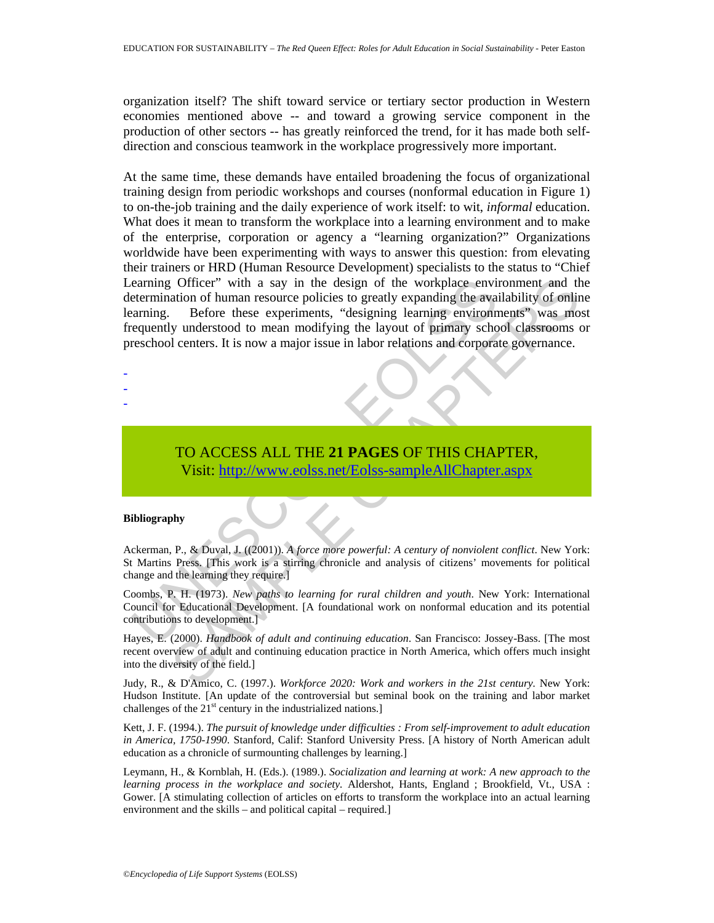organization itself? The shift toward service or tertiary sector production in Western economies mentioned above -- and toward a growing service component in the production of other sectors -- has greatly reinforced the trend, for it has made both selfdirection and conscious teamwork in the workplace progressively more important.

earning Officer" with a say in the design of the workplace environer the<br>maring. Before these experiments, "designing learning tenvironning<br>equently understood to mean modifying the layout of primary environment<br>reachool c Confinent resource policies to greatly expanding the averaging convironment and the solution of human resource policies to greatly expanding the availability of ordinary<br>Before these experiments, "designing learning envir At the same time, these demands have entailed broadening the focus of organizational training design from periodic workshops and courses (nonformal education in Figure 1) to on-the-job training and the daily experience of work itself: to wit, *informal* education. What does it mean to transform the workplace into a learning environment and to make of the enterprise, corporation or agency a "learning organization?" Organizations worldwide have been experimenting with ways to answer this question: from elevating their trainers or HRD (Human Resource Development) specialists to the status to "Chief Learning Officer" with a say in the design of the workplace environment and the determination of human resource policies to greatly expanding the availability of online learning. Before these experiments, "designing learning environments" was most frequently understood to mean modifying the layout of primary school classrooms or preschool centers. It is now a major issue in labor relations and corporate governance.

TO ACCESS ALL THE **21 PAGES** OF THIS CHAPTER, Visit: http://www.eolss.net/Eolss-sampleAllChapter.aspx

#### **Bibliography**

- - -

Ackerman, P., & Duval, J. ((2001)). *A force more powerful: A century of nonviolent conflict*. New York: St Martins Press. [This work is a stirring chronicle and analysis of citizens' movements for political change and the learning they require.]

Coombs, P. H. (1973). *New paths to learning for rural children and youth*. New York: International Council for Educational Development. [A foundational work on nonformal education and its potential contributions to development.]

Hayes, E. (2000). *Handbook of adult and continuing education*. San Francisco: Jossey-Bass. [The most recent overview of adult and continuing education practice in North America, which offers much insight into the diversity of the field.]

Judy, R., & D'Amico, C. (1997.). *Workforce 2020: Work and workers in the 21st century.* New York: Hudson Institute. [An update of the controversial but seminal book on the training and labor market challenges of the 21<sup>st</sup> century in the industrialized nations.]

Kett, J. F. (1994.). *The pursuit of knowledge under difficulties : From self-improvement to adult education in America, 1750-1990*. Stanford, Calif: Stanford University Press. [A history of North American adult education as a chronicle of surmounting challenges by learning.]

Leymann, H., & Kornblah, H. (Eds.). (1989.). *Socialization and learning at work: A new approach to the learning process in the workplace and society.* Aldershot, Hants, England ; Brookfield, Vt., USA : Gower. [A stimulating collection of articles on efforts to transform the workplace into an actual learning environment and the skills – and political capital – required.]